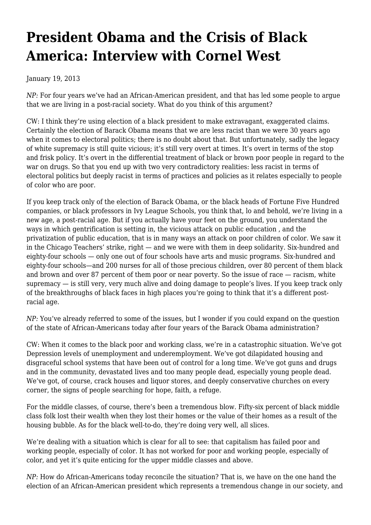## **[President Obama and the Crisis of Black](https://newpol.org/issue_post/president-obama-and-crisis-black-america-interview-cornel-west/) [America: Interview with Cornel West](https://newpol.org/issue_post/president-obama-and-crisis-black-america-interview-cornel-west/)**

January 19, 2013

*NP:* For four years we've had an African-American president, and that has led some people to argue that we are living in a post-racial society. What do you think of this argument?

CW: I think they're using election of a black president to make extravagant, exaggerated claims. Certainly the election of Barack Obama means that we are less racist than we were 30 years ago when it comes to electoral politics; there is no doubt about that. But unfortunately, sadly the legacy of white supremacy is still quite vicious; it's still very overt at times. It's overt in terms of the stop and frisk policy. It's overt in the differential treatment of black or brown poor people in regard to the war on drugs. So that you end up with two very contradictory realities: less racist in terms of electoral politics but deeply racist in terms of practices and policies as it relates especially to people of color who are poor.

If you keep track only of the election of Barack Obama, or the black heads of Fortune Five Hundred companies, or black professors in Ivy League Schools, you think that, lo and behold, we're living in a new age, a post-racial age. But if you actually have your feet on the ground, you understand the ways in which gentrification is setting in, the vicious attack on public education , and the privatization of public education, that is in many ways an attack on poor children of color. We saw it in the Chicago Teachers' strike, right — and we were with them in deep solidarity. Six-hundred and eighty-four schools — only one out of four schools have arts and music programs. Six-hundred and eighty-four schools—and 200 nurses for all of those precious children, over 80 percent of them black and brown and over 87 percent of them poor or near poverty. So the issue of race — racism, white supremacy — is still very, very much alive and doing damage to people's lives. If you keep track only of the breakthroughs of black faces in high places you're going to think that it's a different postracial age.

*NP:* You've already referred to some of the issues, but I wonder if you could expand on the question of the state of African-Americans today after four years of the Barack Obama administration?

CW: When it comes to the black poor and working class, we're in a catastrophic situation. We've got Depression levels of unemployment and underemployment. We've got dilapidated housing and disgraceful school systems that have been out of control for a long time. We've got guns and drugs and in the community, devastated lives and too many people dead, especially young people dead. We've got, of course, crack houses and liquor stores, and deeply conservative churches on every corner, the signs of people searching for hope, faith, a refuge.

For the middle classes, of course, there's been a tremendous blow. Fifty-six percent of black middle class folk lost their wealth when they lost their homes or the value of their homes as a result of the housing bubble. As for the black well-to-do, they're doing very well, all slices.

We're dealing with a situation which is clear for all to see: that capitalism has failed poor and working people, especially of color. It has not worked for poor and working people, especially of color, and yet it's quite enticing for the upper middle classes and above.

*NP:* How do African-Americans today reconcile the situation? That is, we have on the one hand the election of an African-American president which represents a tremendous change in our society, and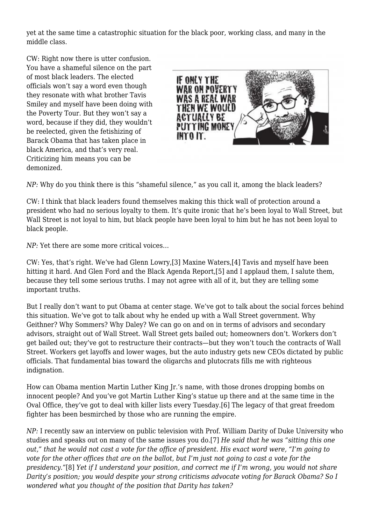yet at the same time a catastrophic situation for the black poor, working class, and many in the middle class.

CW: Right now there is utter confusion. You have a shameful silence on the part of most black leaders. The elected officials won't say a word even though they resonate with what brother Tavis Smiley and myself have been doing with the Poverty Tour. But they won't say a word, because if they did, they wouldn't be reelected, given the fetishizing of Barack Obama that has taken place in black America, and that's very real. Criticizing him means you can be demonized.



*NP:* Why do you think there is this "shameful silence," as you call it, among the black leaders?

CW: I think that black leaders found themselves making this thick wall of protection around a president who had no serious loyalty to them. It's quite ironic that he's been loyal to Wall Street, but Wall Street is not loyal to him, but black people have been loyal to him but he has not been loyal to black people.

*NP:* Yet there are some more critical voices…

CW: Yes, that's right. We've had Glenn Lowry,[3] Maxine Waters,[4] Tavis and myself have been hitting it hard. And Glen Ford and the Black Agenda Report,[5] and I applaud them, I salute them, because they tell some serious truths. I may not agree with all of it, but they are telling some important truths.

But I really don't want to put Obama at center stage. We've got to talk about the social forces behind this situation. We've got to talk about why he ended up with a Wall Street government. Why Geithner? Why Sommers? Why Daley? We can go on and on in terms of advisors and secondary advisors, straight out of Wall Street. Wall Street gets bailed out; homeowners don't. Workers don't get bailed out; they've got to restructure their contracts—but they won't touch the contracts of Wall Street. Workers get layoffs and lower wages, but the auto industry gets new CEOs dictated by public officials. That fundamental bias toward the oligarchs and plutocrats fills me with righteous indignation.

How can Obama mention Martin Luther King Jr.'s name, with those drones dropping bombs on innocent people? And you've got Martin Luther King's statue up there and at the same time in the Oval Office, they've got to deal with killer lists every Tuesday.[6] The legacy of that great freedom fighter has been besmirched by those who are running the empire.

*NP:* I recently saw an interview on public television with Prof. William Darity of Duke University who studies and speaks out on many of the same issues you do.[7] *He said that he was "sitting this one out," that he would not cast a vote for the office of president. His exact word were, "I'm going to vote for the other offices that are on the ballot, but I'm just not going to cast a vote for the presidency."*[8] *Yet if I understand your position, and correct me if I'm wrong, you would not share Darity's position; you would despite your strong criticisms advocate voting for Barack Obama? So I wondered what you thought of the position that Darity has taken?*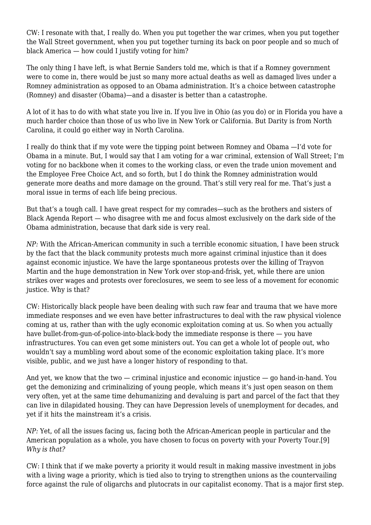CW: I resonate with that, I really do. When you put together the war crimes, when you put together the Wall Street government, when you put together turning its back on poor people and so much of black America — how could I justify voting for him?

The only thing I have left, is what Bernie Sanders told me, which is that if a Romney government were to come in, there would be just so many more actual deaths as well as damaged lives under a Romney administration as opposed to an Obama administration. It's a choice between catastrophe (Romney) and disaster (Obama)—and a disaster is better than a catastrophe.

A lot of it has to do with what state you live in. If you live in Ohio (as you do) or in Florida you have a much harder choice than those of us who live in New York or California. But Darity is from North Carolina, it could go either way in North Carolina.

I really do think that if my vote were the tipping point between Romney and Obama —I'd vote for Obama in a minute. But, I would say that I am voting for a war criminal, extension of Wall Street; I'm voting for no backbone when it comes to the working class, or even the trade union movement and the Employee Free Choice Act, and so forth, but I do think the Romney administration would generate more deaths and more damage on the ground. That's still very real for me. That's just a moral issue in terms of each life being precious.

But that's a tough call. I have great respect for my comrades—such as the brothers and sisters of Black Agenda Report — who disagree with me and focus almost exclusively on the dark side of the Obama administration, because that dark side is very real.

*NP:* With the African-American community in such a terrible economic situation, I have been struck by the fact that the black community protests much more against criminal injustice than it does against economic injustice. We have the large spontaneous protests over the killing of Trayvon Martin and the huge demonstration in New York over stop-and-frisk, yet, while there are union strikes over wages and protests over foreclosures, we seem to see less of a movement for economic justice. Why is that?

CW: Historically black people have been dealing with such raw fear and trauma that we have more immediate responses and we even have better infrastructures to deal with the raw physical violence coming at us, rather than with the ugly economic exploitation coming at us. So when you actually have bullet-from-gun-of-police-into-black-body the immediate response is there — you have infrastructures. You can even get some ministers out. You can get a whole lot of people out, who wouldn't say a mumbling word about some of the economic exploitation taking place. It's more visible, public, and we just have a longer history of responding to that.

And yet, we know that the two — criminal injustice and economic injustice — go hand-in-hand. You get the demonizing and criminalizing of young people, which means it's just open season on them very often, yet at the same time dehumanizing and devaluing is part and parcel of the fact that they can live in dilapidated housing. They can have Depression levels of unemployment for decades, and yet if it hits the mainstream it's a crisis.

*NP:* Yet, of all the issues facing us, facing both the African-American people in particular and the American population as a whole, you have chosen to focus on poverty with your Poverty Tour.[9] *Why is that?*

CW: I think that if we make poverty a priority it would result in making massive investment in jobs with a living wage a priority, which is tied also to trying to strengthen unions as the countervailing force against the rule of oligarchs and plutocrats in our capitalist economy. That is a major first step.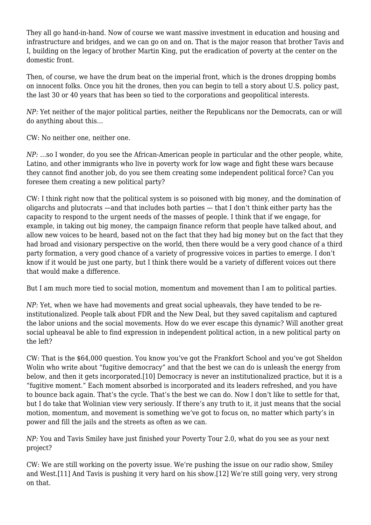They all go hand-in-hand. Now of course we want massive investment in education and housing and infrastructure and bridges, and we can go on and on. That is the major reason that brother Tavis and I, building on the legacy of brother Martin King, put the eradication of poverty at the center on the domestic front.

Then, of course, we have the drum beat on the imperial front, which is the drones dropping bombs on innocent folks. Once you hit the drones, then you can begin to tell a story about U.S. policy past, the last 30 or 40 years that has been so tied to the corporations and geopolitical interests.

*NP:* Yet neither of the major political parties, neither the Republicans nor the Democrats, can or will do anything about this…

CW: No neither one, neither one.

*NP:* …so I wonder, do you see the African-American people in particular and the other people, white, Latino, and other immigrants who live in poverty work for low wage and fight these wars because they cannot find another job, do you see them creating some independent political force? Can you foresee them creating a new political party?

CW: I think right now that the political system is so poisoned with big money, and the domination of oligarchs and plutocrats —and that includes both parties — that I don't think either party has the capacity to respond to the urgent needs of the masses of people. I think that if we engage, for example, in taking out big money, the campaign finance reform that people have talked about, and allow new voices to be heard, based not on the fact that they had big money but on the fact that they had broad and visionary perspective on the world, then there would be a very good chance of a third party formation, a very good chance of a variety of progressive voices in parties to emerge. I don't know if it would be just one party, but I think there would be a variety of different voices out there that would make a difference.

But I am much more tied to social motion, momentum and movement than I am to political parties.

*NP:* Yet, when we have had movements and great social upheavals, they have tended to be reinstitutionalized. People talk about FDR and the New Deal, but they saved capitalism and captured the labor unions and the social movements. How do we ever escape this dynamic? Will another great social upheaval be able to find expression in independent political action, in a new political party on the left?

CW: That is the \$64,000 question. You know you've got the Frankfort School and you've got Sheldon Wolin who write about "fugitive democracy" and that the best we can do is unleash the energy from below, and then it gets incorporated.[10] Democracy is never an institutionalized practice, but it is a "fugitive moment." Each moment absorbed is incorporated and its leaders refreshed, and you have to bounce back again. That's the cycle. That's the best we can do. Now I don't like to settle for that, but I do take that Wolinian view very seriously. If there's any truth to it, it just means that the social motion, momentum, and movement is something we've got to focus on, no matter which party's in power and fill the jails and the streets as often as we can.

*NP:* You and Tavis Smiley have just finished your Poverty Tour 2.0, what do you see as your next project?

CW: We are still working on the poverty issue. We're pushing the issue on our radio show, Smiley and West.[11] And Tavis is pushing it very hard on his show.[12] We're still going very, very strong on that.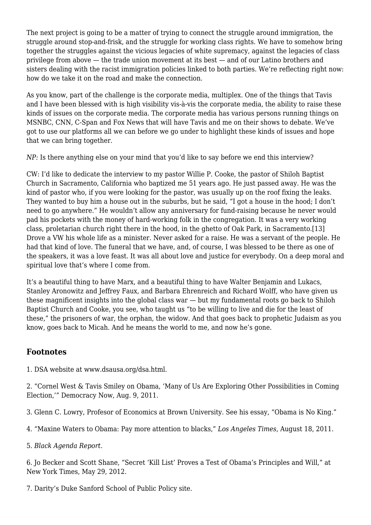The next project is going to be a matter of trying to connect the struggle around immigration, the struggle around stop-and-frisk, and the struggle for working class rights. We have to somehow bring together the struggles against the vicious legacies of white supremacy, against the legacies of class privilege from above — the trade union movement at its best — and of our Latino brothers and sisters dealing with the racist immigration policies linked to both parties. We're reflecting right now: how do we take it on the road and make the connection.

As you know, part of the challenge is the corporate media, multiplex. One of the things that Tavis and I have been blessed with is high visibility vis-à-vis the corporate media, the ability to raise these kinds of issues on the corporate media. The corporate media has various persons running things on MSNBC, CNN, C-Span and Fox News that will have Tavis and me on their shows to debate. We've got to use our platforms all we can before we go under to highlight these kinds of issues and hope that we can bring together.

*NP*: Is there anything else on your mind that you'd like to say before we end this interview?

CW: I'd like to dedicate the interview to my pastor Willie P. Cooke, the pastor of Shiloh Baptist Church in Sacramento, California who baptized me 51 years ago. He just passed away. He was the kind of pastor who, if you were looking for the pastor, was usually up on the roof fixing the leaks. They wanted to buy him a house out in the suburbs, but he said, "I got a house in the hood; I don't need to go anywhere." He wouldn't allow any anniversary for fund-raising because he never would pad his pockets with the money of hard-working folk in the congregation. It was a very working class, proletarian church right there in the hood, in the ghetto of Oak Park, in Sacramento.[13] Drove a VW his whole life as a minister. Never asked for a raise. He was a servant of the people. He had that kind of love. The funeral that we have, and, of course, I was blessed to be there as one of the speakers, it was a love feast. It was all about love and justice for everybody. On a deep moral and spiritual love that's where I come from.

It's a beautiful thing to have Marx, and a beautiful thing to have Walter Benjamin and Lukacs, Stanley Aronowitz and Jeffrey Faux, and Barbara Ehrenreich and Richard Wolff, who have given us these magnificent insights into the global class war — but my fundamental roots go back to Shiloh Baptist Church and Cooke, you see, who taught us "to be willing to live and die for the least of these," the prisoners of war, the orphan, the widow. And that goes back to prophetic Judaism as you know, goes back to Micah. And he means the world to me, and now he's gone.

## **Footnotes**

1. DSA website at [www.dsausa.org/dsa.html](http://www.dsausa.org/dsa.html).

2. "Cornel West & Tavis Smiley on Obama, 'Many of Us Are Exploring Other Possibilities in Coming Election,'" [Democracy Now,](http://www.democracynow.org/2011/8/9/cornel_west_tavis_smiley_on_obama) Aug. 9, 2011.

3. [Glenn C. Lowry](http://research.brown.edu/research/profile.php?id=1127249122), Profesor of Economics at Brown University. See his essay, "[Obama is No King.](http://blogs.reed.edu/reed_magazine/2012/02/obama-is-no-king.html)"

4. ["Maxine Waters to Obama: Pay more attention to blacks](http://latimesblogs.latimes.com/lanow/2011/08/maxine-waters-obama.html)," *Los Angeles Times*, August 18, 2011.

5. *[Black Agenda Report](http://blackagendareport.com/)*.

6. Jo Becker and Scott Shane, "Secret 'Kill List' Proves a Test of Obama's Principles and Will," at [New York Times](http://www.nytimes.com/2012/05/29/world/obamas-leadership-in-war-on-al-qaeda.html), May 29, 2012.

7. [Darity's Duke Sanford School of Public Policy site](http://fds.duke.edu/db/Sanford/william.darity).